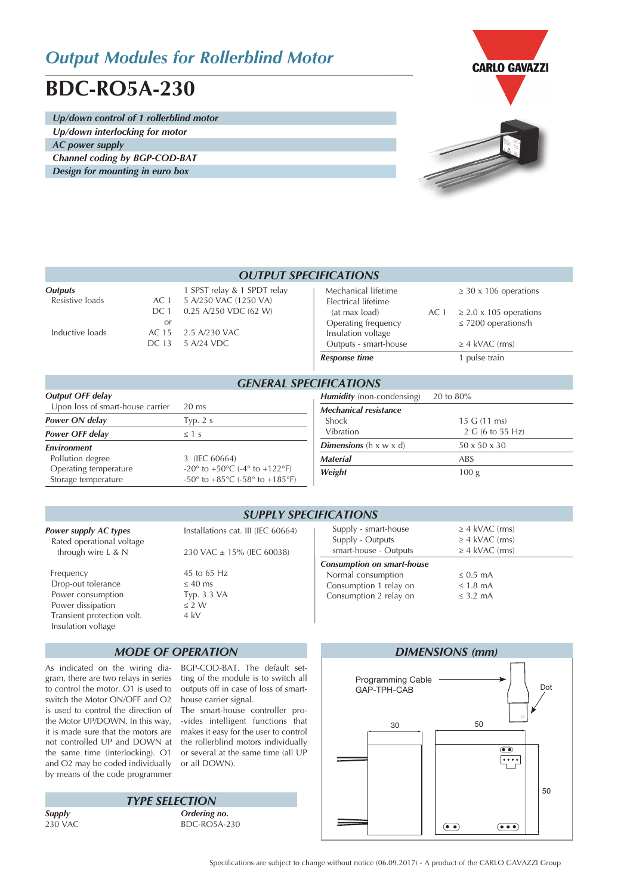## *Output Modules for Rollerblind Motor*

# **BDC-RO5A-230**

*Up/down control of 1 rollerblind motor Up/down interlocking for motor AC power supply*

*Channel coding by BGP-COD-BAT Design for mounting in euro box*



| <b>OUTPUT SPECIFICATIONS</b>      |                    |                                                                               |                                                                                    |      |                                                                                       |  |
|-----------------------------------|--------------------|-------------------------------------------------------------------------------|------------------------------------------------------------------------------------|------|---------------------------------------------------------------------------------------|--|
| <b>Outputs</b><br>Resistive loads | AC 1<br>DC 1<br>or | 1 SPST relay & 1 SPDT relay<br>5 A/250 VAC (1250 VA)<br>0.25 A/250 VDC (62 W) | Mechanical lifetime<br>Electrical lifetime<br>(at max load)<br>Operating frequency | AC 1 | $\geq$ 30 x 106 operations<br>$\geq$ 2.0 x 105 operations<br>$\leq$ 7200 operations/h |  |
| Inductive loads                   | AC 15<br>DC 13     | 2.5 A/230 VAC<br>5 A/24 VDC                                                   | Insulation voltage<br>Outputs - smart-house                                        |      | $\geq$ 4 kVAC (rms)                                                                   |  |
|                                   |                    |                                                                               | <b>Response time</b>                                                               |      | pulse train                                                                           |  |
| <b>GENERAL SPECIFICATIONS</b>     |                    |                                                                               |                                                                                    |      |                                                                                       |  |

| <b>Output OFF delay</b>          |                                                                      |  |  |  |  |
|----------------------------------|----------------------------------------------------------------------|--|--|--|--|
| Upon loss of smart-house carrier | $20 \text{ ms}$                                                      |  |  |  |  |
| Power ON delay                   | Typ. $2 s$                                                           |  |  |  |  |
| <b>Power OFF delay</b>           | $\leq 1$ s                                                           |  |  |  |  |
| <b>Environment</b>               |                                                                      |  |  |  |  |
| Pollution degree                 | 3 (IEC 60664)                                                        |  |  |  |  |
| Operating temperature            | -20 $\degree$ to +50 $\degree$ C (-4 $\degree$ to +122 $\degree$ F)  |  |  |  |  |
| Storage temperature              | -50 $\degree$ to +85 $\degree$ C (-58 $\degree$ to +185 $\degree$ F) |  |  |  |  |

| <i>IFICATIONS</i>                  |                          |  |  |  |  |  |
|------------------------------------|--------------------------|--|--|--|--|--|
| <b>Humidity</b> (non-condensing)   | 20 to 80%                |  |  |  |  |  |
| Mechanical resistance              |                          |  |  |  |  |  |
| <b>Shock</b>                       | 15 G (11 ms)             |  |  |  |  |  |
| Vibration                          | 2 G (6 to 55 Hz)         |  |  |  |  |  |
| <b>Dimensions</b> (h $x \le x d$ ) | $50 \times 50 \times 30$ |  |  |  |  |  |
| <b>Material</b>                    | <b>ABS</b>               |  |  |  |  |  |
| Weight                             | 100 <sub>g</sub>         |  |  |  |  |  |
|                                    |                          |  |  |  |  |  |

### *SUPPLY SPECIFICATIONS*

| <b>Power supply AC types</b><br>Rated operational voltage                                                                     | Installations cat. III (IEC 60664)                                 | Supply - sr<br>Supply - C                                    |
|-------------------------------------------------------------------------------------------------------------------------------|--------------------------------------------------------------------|--------------------------------------------------------------|
| through wire $L < N$                                                                                                          | 230 VAC ± 15% (IEC 60038)                                          | smart-hous                                                   |
| Frequency<br>Drop-out tolerance<br>Power consumption<br>Power dissipation<br>Transient protection volt.<br>Insulation voltage | 45 to 65 Hz<br>$\leq 40$ ms<br>Typ. 3.3 VA<br>$\leq$ 2 W<br>$4$ kV | <b>Consumption</b><br>Normal con<br>Consumptio<br>Consumptio |
|                                                                                                                               | <b>MODE OF OPERATION</b>                                           |                                                              |

As indicated on the wiring diagram, there are two relays in series to control the motor. O1 is used to switch the Motor ON/OFF and O2 is used to control the direction of the Motor UP/DOWN. In this way, it is made sure that the motors are the same time (interlocking). O1 and O2 may be coded individually by means of the code programmer

BGP-COD-BAT. The default setting of the module is to switch all outputs off in case of loss of smarthouse carrier signal.

not controlled UP and DOWN at the rollerblind motors individually The smart-house controller pro- -vides intelligent functions that makes it easy for the user to control or several at the same time (all UP or all DOWN).

*Supply Ordering no.*  $BDC-RO5A-230$ *TYPE SELECTION*